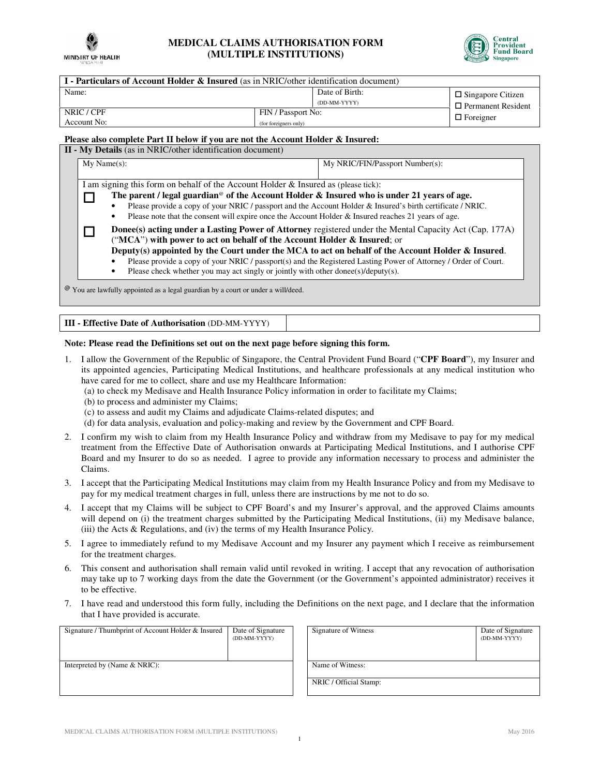

## **MEDICAL CLAIMS AUTHORISATION FORM (MULTIPLE INSTITUTIONS)**



| <b>I</b> - Particulars of Account Holder & Insured (as in NRIC/other identification document) |                                                                                                    |                           |  |  |
|-----------------------------------------------------------------------------------------------|----------------------------------------------------------------------------------------------------|---------------------------|--|--|
| Name:                                                                                         | Date of Birth:                                                                                     | $\Box$ Singapore Citizen  |  |  |
|                                                                                               | (DD-MM-YYYY)                                                                                       | $\Box$ Permanent Resident |  |  |
| NRIC / CPF                                                                                    | FIN / Passport No:                                                                                 |                           |  |  |
| Account No:                                                                                   | (for foreigners only)                                                                              | $\Box$ Foreigner          |  |  |
| <b>TAL</b><br>$\cdot$ $\cdot$<br>$\mathbf{r}$ . The set of $\mathbf{r}$                       | $\sqrt{11}$ $\sqrt{11}$ $\sqrt{11}$<br>$\overline{1}$ $\overline{1}$ $\overline{1}$ $\overline{1}$ |                           |  |  |

## **Please also complete Part II below if you are not the Account Holder & Insured:**

|                                                                                                                                                                                                                                                                                                                                                                                                                             | <b>II - My Details</b> (as in NRIC/other identification document)<br>$My Name(s)$ :<br>My NRIC/FIN/Passport Number(s):                                                                                                                                                                                                                                                                                                                                                                           |  |  |  |
|-----------------------------------------------------------------------------------------------------------------------------------------------------------------------------------------------------------------------------------------------------------------------------------------------------------------------------------------------------------------------------------------------------------------------------|--------------------------------------------------------------------------------------------------------------------------------------------------------------------------------------------------------------------------------------------------------------------------------------------------------------------------------------------------------------------------------------------------------------------------------------------------------------------------------------------------|--|--|--|
| I am signing this form on behalf of the Account Holder $\&$ Insured as (please tick):<br>The parent / legal guardian <sup>®</sup> of the Account Holder & Insured who is under 21 years of age.<br>Please provide a copy of your NRIC / passport and the Account Holder & Insured's birth certificate / NRIC.<br>Please note that the consent will expire once the Account Holder $&$ Insured reaches 21 years of age.<br>٠ |                                                                                                                                                                                                                                                                                                                                                                                                                                                                                                  |  |  |  |
|                                                                                                                                                                                                                                                                                                                                                                                                                             | Donee(s) acting under a Lasting Power of Attorney registered under the Mental Capacity Act (Cap. 177A)<br>("MCA") with power to act on behalf of the Account Holder & Insured; or<br>Deputy(s) appointed by the Court under the MCA to act on behalf of the Account Holder $\&$ Insured.<br>Please provide a copy of your NRIC / passport(s) and the Registered Lasting Power of Attorney / Order of Court.<br>Please check whether you may act singly or jointly with other donee(s)/deputy(s). |  |  |  |
|                                                                                                                                                                                                                                                                                                                                                                                                                             | $\mathcal{Q}$ You are lawfully appointed as a legal guardian by a court or under a will/deed.                                                                                                                                                                                                                                                                                                                                                                                                    |  |  |  |

**III - Effective Date of Authorisation** (DD-MM-YYYY)

## **Note: Please read the Definitions set out on the next page before signing this form.**

- 1. I allow the Government of the Republic of Singapore, the Central Provident Fund Board ("**CPF Board**"), my Insurer and its appointed agencies, Participating Medical Institutions, and healthcare professionals at any medical institution who have cared for me to collect, share and use my Healthcare Information:
	- (a) to check my Medisave and Health Insurance Policy information in order to facilitate my Claims;
	- (b) to process and administer my Claims;
	- (c) to assess and audit my Claims and adjudicate Claims-related disputes; and

(d) for data analysis, evaluation and policy-making and review by the Government and CPF Board.

- 2. I confirm my wish to claim from my Health Insurance Policy and withdraw from my Medisave to pay for my medical treatment from the Effective Date of Authorisation onwards at Participating Medical Institutions, and I authorise CPF Board and my Insurer to do so as needed. I agree to provide any information necessary to process and administer the Claims.
- 3. I accept that the Participating Medical Institutions may claim from my Health Insurance Policy and from my Medisave to pay for my medical treatment charges in full, unless there are instructions by me not to do so.
- 4. I accept that my Claims will be subject to CPF Board's and my Insurer's approval, and the approved Claims amounts will depend on (i) the treatment charges submitted by the Participating Medical Institutions, (ii) my Medisave balance, (iii) the Acts & Regulations, and (iv) the terms of my Health Insurance Policy.
- 5. I agree to immediately refund to my Medisave Account and my Insurer any payment which I receive as reimbursement for the treatment charges.
- 6. This consent and authorisation shall remain valid until revoked in writing. I accept that any revocation of authorisation may take up to 7 working days from the date the Government (or the Government's appointed administrator) receives it to be effective.
- 7. I have read and understood this form fully, including the Definitions on the next page, and I declare that the information that I have provided is accurate.

|                                  | Date of Signature<br>(DD-MM-YYYY) | Signature of Witness   | Date of Signature<br>(DD-MM-YYYY) |
|----------------------------------|-----------------------------------|------------------------|-----------------------------------|
| Interpreted by (Name $& NRIC$ ): |                                   | Name of Witness:       |                                   |
|                                  |                                   | NRIC / Official Stamp: |                                   |